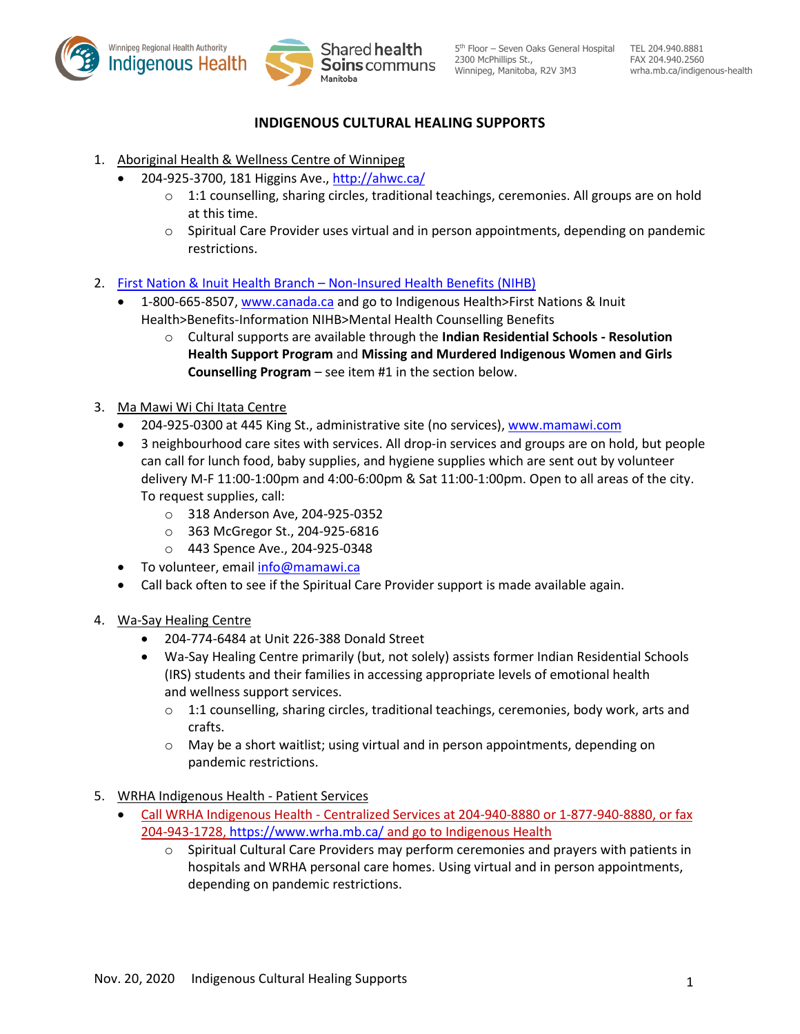



# **INDIGENOUS CULTURAL HEALING SUPPORTS**

- 1. Aboriginal Health & Wellness Centre of Winnipeg
	- 204-925-3700, 181 Higgins Ave., http://ahwc.ca/
		- o 1:1 counselling, sharing circles, traditional teachings, ceremonies. All groups are on hold at this time.
		- $\circ$  Spiritual Care Provider uses virtual and in person appointments, depending on pandemic restrictions.
- 2. First Nation & Inuit Health Branch Non-Insured Health Benefits (NIHB)
	- 1-800-665-8507, www.canada.ca and go to Indigenous Health>First Nations & Inuit Health>Benefits-Information NIHB>Mental Health Counselling Benefits
		- o Cultural supports are available through the **Indian Residential Schools - Resolution Health Support Program** and **Missing and Murdered Indigenous Women and Girls Counselling Program** – see item #1 in the section below.
- 3. Ma Mawi Wi Chi Itata Centre
	- 204-925-0300 at 445 King St., administrative site (no services), www.mamawi.com
	- 3 neighbourhood care sites with services. All drop-in services and groups are on hold, but people can call for lunch food, baby supplies, and hygiene supplies which are sent out by volunteer delivery M-F 11:00-1:00pm and 4:00-6:00pm & Sat 11:00-1:00pm. Open to all areas of the city. To request supplies, call:
		- o 318 Anderson Ave, 204-925-0352
		- o 363 McGregor St., 204-925-6816
		- o 443 Spence Ave., 204-925-0348
	- To volunteer, email info@mamawi.ca
	- Call back often to see if the Spiritual Care Provider support is made available again.
- 4. Wa-Say Healing Centre
	- x 204-774-6484 at Unit 226-388 Donald Street
	- Wa-Say Healing Centre primarily (but, not solely) assists former Indian Residential Schools (IRS) students and their families in accessing appropriate levels of emotional health and wellness support services.
		- $\circ$  1:1 counselling, sharing circles, traditional teachings, ceremonies, body work, arts and crafts.
		- $\circ$  May be a short waitlist; using virtual and in person appointments, depending on pandemic restrictions.
- 5. WRHA Indigenous Health Patient Services
	- Call WRHA Indigenous Health Centralized Services at 204-940-8880 or 1-877-940-8880, or fax 204-943-1728, https://www.wrha.mb.ca/ and go to Indigenous Health
		- $\circ$  Spiritual Cultural Care Providers may perform ceremonies and prayers with patients in hospitals and WRHA personal care homes. Using virtual and in person appointments, depending on pandemic restrictions.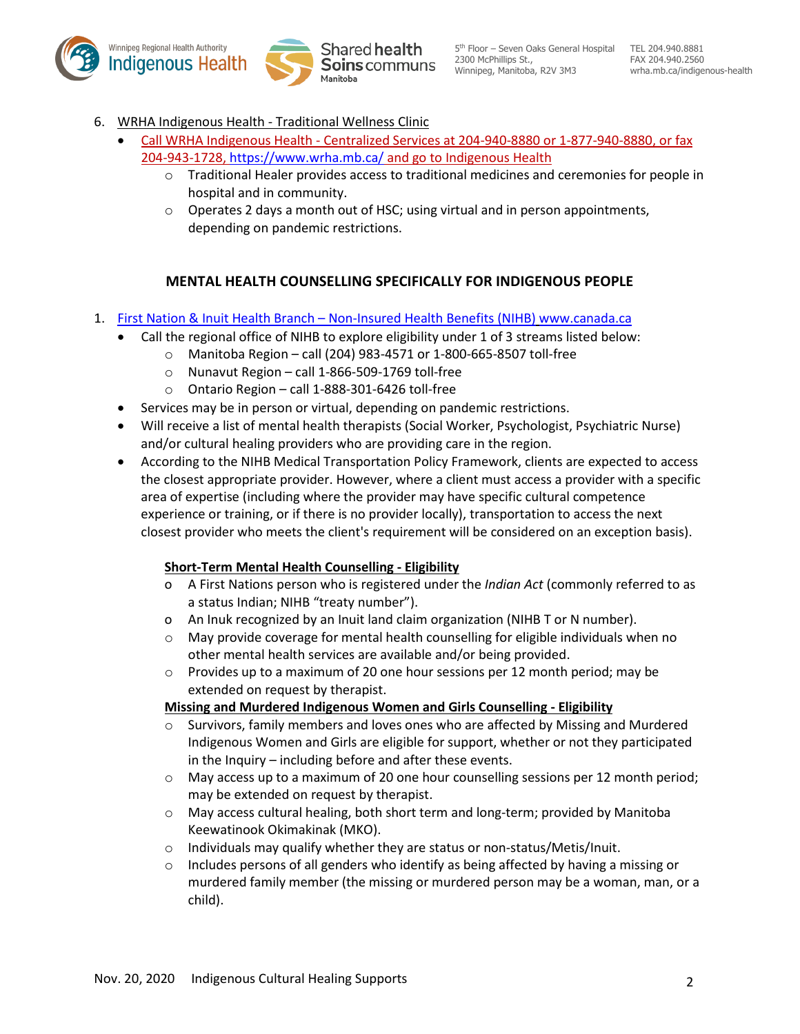



- 6. WRHA Indigenous Health Traditional Wellness Clinic
	- Call WRHA Indigenous Health Centralized Services at 204-940-8880 or 1-877-940-8880, or fax 204-943-1728, https://www.wrha.mb.ca/ and go to Indigenous Health
		- o Traditional Healer provides access to traditional medicines and ceremonies for people in hospital and in community.
		- $\circ$  Operates 2 days a month out of HSC; using virtual and in person appointments, depending on pandemic restrictions.

# **MENTAL HEALTH COUNSELLING SPECIFICALLY FOR INDIGENOUS PEOPLE**

- 1. First Nation & Inuit Health Branch Non-Insured Health Benefits (NIHB) www.canada.ca
	- Call the regional office of NIHB to explore eligibility under 1 of 3 streams listed below:
		- o Manitoba Region call (204) 983-4571 or 1-800-665-8507 toll-free
		- o Nunavut Region call 1-866-509-1769 toll-free
		- o Ontario Region call 1-888-301-6426 toll-free
	- Services may be in person or virtual, depending on pandemic restrictions.
	- Will receive a list of mental health therapists (Social Worker, Psychologist, Psychiatric Nurse) and/or cultural healing providers who are providing care in the region.
	- x According to the NIHB Medical Transportation Policy Framework, clients are expected to access the closest appropriate provider. However, where a client must access a provider with a specific area of expertise (including where the provider may have specific cultural competence experience or training, or if there is no provider locally), transportation to access the next closest provider who meets the client's requirement will be considered on an exception basis).

# **Short-Term Mental Health Counselling - Eligibility**

- o A First Nations person who is registered under the *Indian Act* (commonly referred to as a status Indian; NIHB "treaty number").
- o An Inuk recognized by an Inuit land claim organization (NIHB T or N number).
- o May provide coverage for mental health counselling for eligible individuals when no other mental health services are available and/or being provided.
- $\circ$  Provides up to a maximum of 20 one hour sessions per 12 month period; may be extended on request by therapist.

## **Missing and Murdered Indigenous Women and Girls Counselling - Eligibility**

- o Survivors, family members and loves ones who are affected by Missing and Murdered Indigenous Women and Girls are eligible for support, whether or not they participated in the Inquiry – including before and after these events.
- $\circ$  May access up to a maximum of 20 one hour counselling sessions per 12 month period; may be extended on request by therapist.
- $\circ$  May access cultural healing, both short term and long-term; provided by Manitoba Keewatinook Okimakinak (MKO).
- o Individuals may qualify whether they are status or non-status/Metis/Inuit.
- $\circ$  Includes persons of all genders who identify as being affected by having a missing or murdered family member (the missing or murdered person may be a woman, man, or a child).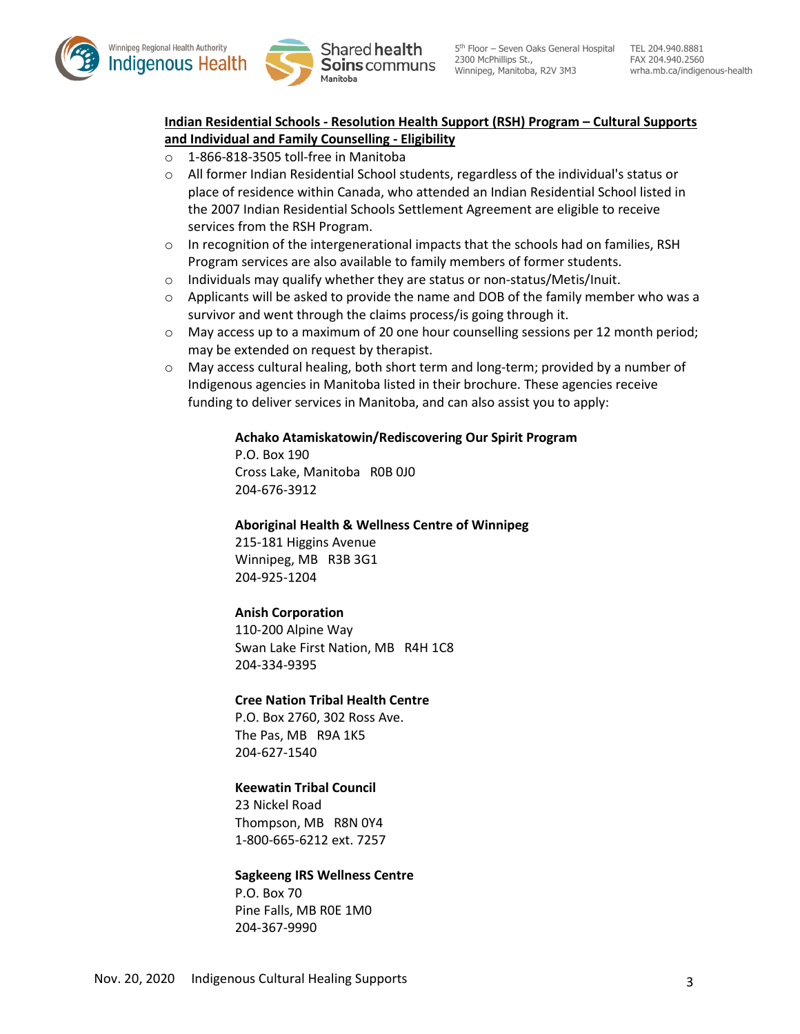



# **Indian Residential Schools - Resolution Health Support (RSH) Program – Cultural Supports and Individual and Family Counselling - Eligibility**

- o 1-866-818-3505 toll-free in Manitoba
- $\circ$  All former Indian Residential School students, regardless of the individual's status or place of residence within Canada, who attended an Indian Residential School listed in the 2007 Indian Residential Schools Settlement Agreement are eligible to receive services from the RSH Program.
- $\circ$  In recognition of the intergenerational impacts that the schools had on families, RSH Program services are also available to family members of former students.
- o Individuals may qualify whether they are status or non-status/Metis/Inuit.
- $\circ$  Applicants will be asked to provide the name and DOB of the family member who was a survivor and went through the claims process/is going through it.
- o May access up to a maximum of 20 one hour counselling sessions per 12 month period; may be extended on request by therapist.
- $\circ$  May access cultural healing, both short term and long-term; provided by a number of Indigenous agencies in Manitoba listed in their brochure. These agencies receive funding to deliver services in Manitoba, and can also assist you to apply:

#### **Achako Atamiskatowin/Rediscovering Our Spirit Program**

P.O. Box 190 Cross Lake, Manitoba R0B 0J0 204-676-3912

#### **Aboriginal Health & Wellness Centre of Winnipeg**

215-181 Higgins Avenue Winnipeg, MB R3B 3G1 204-925-1204

## **Anish Corporation**

110-200 Alpine Way Swan Lake First Nation, MB R4H 1C8 204-334-9395

## **Cree Nation Tribal Health Centre**

P.O. Box 2760, 302 Ross Ave. The Pas, MB R9A 1K5 204-627-1540

## **Keewatin Tribal Council**

23 Nickel Road Thompson, MB R8N 0Y4 1-800-665-6212 ext. 7257

## **Sagkeeng IRS Wellness Centre**

P.O. Box 70 Pine Falls, MB R0E 1M0 204-367-9990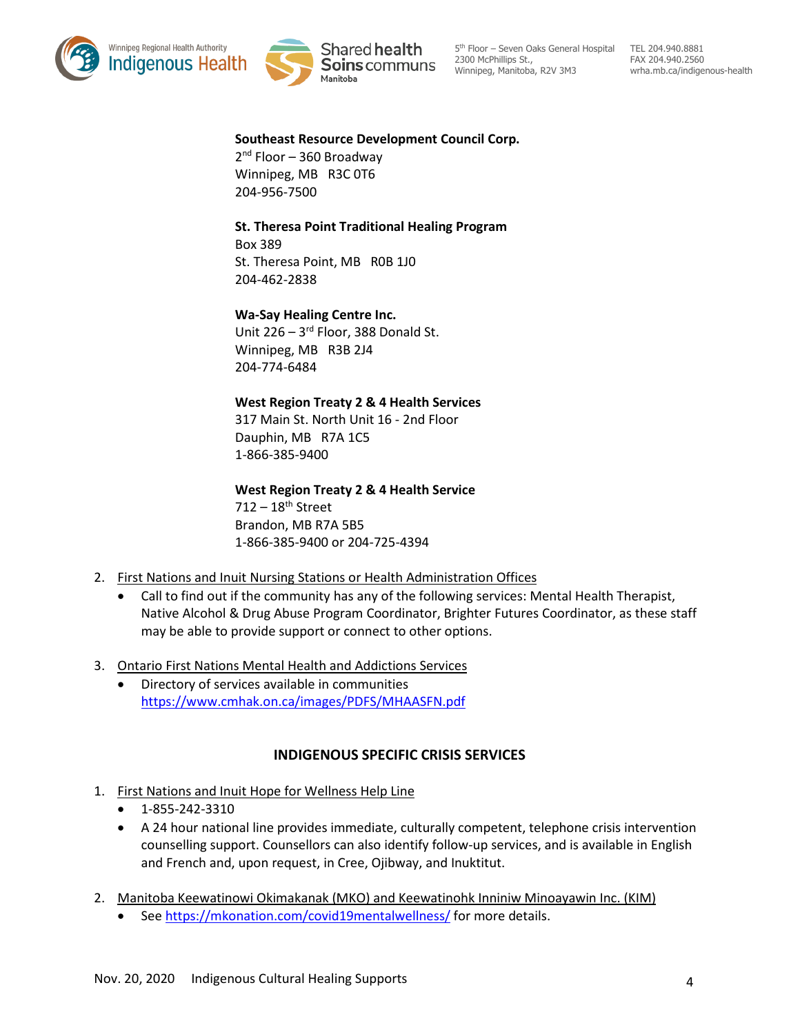



5<sup>th</sup> Floor - Seven Oaks General Hospital TEL 204.940.8881 2300 McPhillips St., Winnipeg, Manitoba, R2V 3M3

FAX 204.940.2560 wrha.mb.ca/indigenous-health

#### **Southeast Resource Development Council Corp.**

 $2<sup>nd</sup>$  Floor – 360 Broadway Winnipeg, MB R3C 0T6 204-956-7500

## **St. Theresa Point Traditional Healing Program**

Box 389 St. Theresa Point, MB R0B 1J0 204-462-2838

## **Wa-Say Healing Centre Inc.**

Unit 226 - 3rd Floor, 388 Donald St. Winnipeg, MB R3B 2J4 204-774-6484

#### **West Region Treaty 2 & 4 Health Services**

317 Main St. North Unit 16 - 2nd Floor Dauphin, MB R7A 1C5 1-866-385-9400

**West Region Treaty 2 & 4 Health Service** 

 $712 - 18$ <sup>th</sup> Street Brandon, MB R7A 5B5 1-866-385-9400 or 204-725-4394

- 2. First Nations and Inuit Nursing Stations or Health Administration Offices
	- Call to find out if the community has any of the following services: Mental Health Therapist, Native Alcohol & Drug Abuse Program Coordinator, Brighter Futures Coordinator, as these staff may be able to provide support or connect to other options.
- 3. Ontario First Nations Mental Health and Addictions Services
	- Directory of services available in communities https://www.cmhak.on.ca/images/PDFS/MHAASFN.pdf

# **INDIGENOUS SPECIFIC CRISIS SERVICES**

- 1. First Nations and Inuit Hope for Wellness Help Line
	- $\bullet$  1-855-242-3310
	- A 24 hour national line provides immediate, culturally competent, telephone crisis intervention counselling support. Counsellors can also identify follow-up services, and is available in English and French and, upon request, in Cree, Ojibway, and Inuktitut.
- 2. Manitoba Keewatinowi Okimakanak (MKO) and Keewatinohk Inniniw Minoayawin Inc. (KIM)
	- See https://mkonation.com/covid19mentalwellness/ for more details.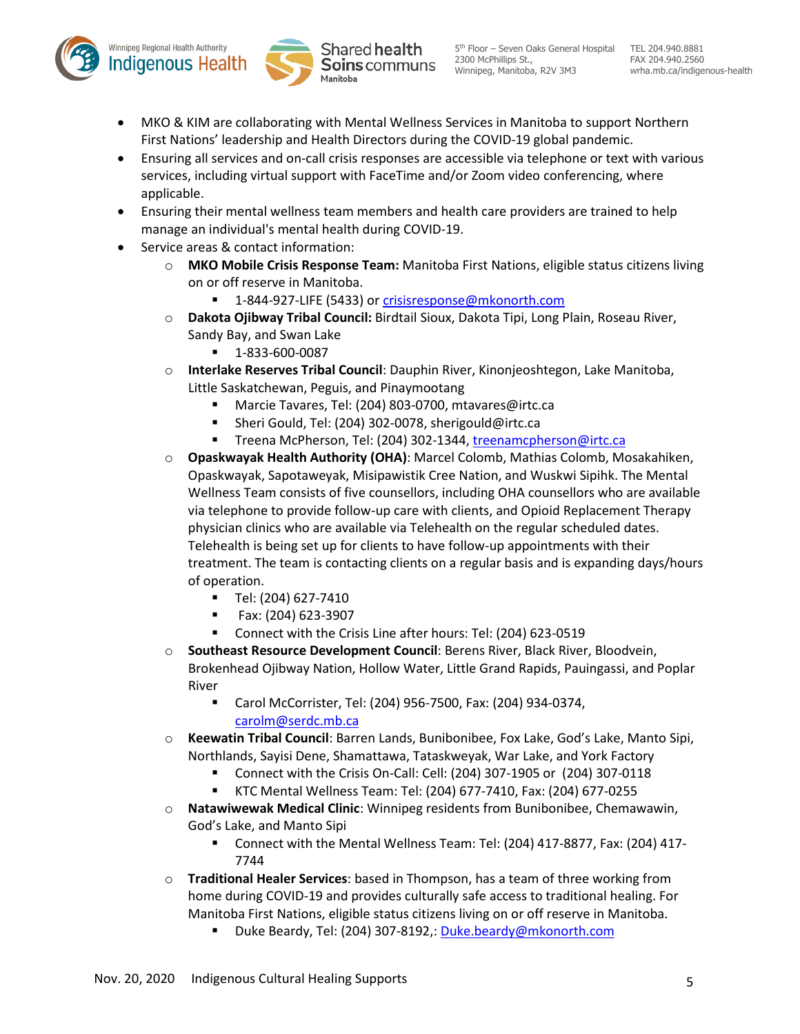



- MKO & KIM are collaborating with Mental Wellness Services in Manitoba to support Northern First Nations' leadership and Health Directors during the COVID-19 global pandemic.
- Ensuring all services and on-call crisis responses are accessible via telephone or text with various services, including virtual support with FaceTime and/or Zoom video conferencing, where applicable.
- Ensuring their mental wellness team members and health care providers are trained to help manage an individual's mental health during COVID-19.
- Service areas & contact information:
	- o **MKO Mobile Crisis Response Team:** Manitoba First Nations, eligible status citizens living on or off reserve in Manitoba.
		- 1-844-927-LIFE (5433) or crisisresponse@mkonorth.com
	- o **Dakota Ojibway Tribal Council:** Birdtail Sioux, Dakota Tipi, Long Plain, Roseau River, Sandy Bay, and Swan Lake
		- 1-833-600-0087
	- o **Interlake Reserves Tribal Council**: Dauphin River, Kinonjeoshtegon, Lake Manitoba, Little Saskatchewan, Peguis, and Pinaymootang
		- Marcie Tavares, Tel: (204) 803-0700, mtavares@irtc.ca
		- Sheri Gould, Tel: (204) 302-0078, sherigould@irtc.ca
		- Treena McPherson, Tel: (204) 302-1344, treenamcpherson@irtc.ca
	- o **Opaskwayak Health Authority (OHA)**: Marcel Colomb, Mathias Colomb, Mosakahiken, Opaskwayak, Sapotaweyak, Misipawistik Cree Nation, and Wuskwi Sipihk. The Mental Wellness Team consists of five counsellors, including OHA counsellors who are available via telephone to provide follow-up care with clients, and Opioid Replacement Therapy physician clinics who are available via Telehealth on the regular scheduled dates. Telehealth is being set up for clients to have follow-up appointments with their treatment. The team is contacting clients on a regular basis and is expanding days/hours of operation.
		- $\blacksquare$  Tel: (204) 627-7410
		- Fax: (204) 623-3907
		- Connect with the Crisis Line after hours: Tel: (204) 623-0519
	- o **Southeast Resource Development Council**: Berens River, Black River, Bloodvein, Brokenhead Ojibway Nation, Hollow Water, Little Grand Rapids, Pauingassi, and Poplar River
		- Carol McCorrister, Tel: (204) 956-7500, Fax: (204) 934-0374, carolm@serdc.mb.ca
	- o **Keewatin Tribal Council**: Barren Lands, Bunibonibee, Fox Lake, God's Lake, Manto Sipi, Northlands, Sayisi Dene, Shamattawa, Tataskweyak, War Lake, and York Factory
		- Connect with the Crisis On-Call: Cell: (204) 307-1905 or (204) 307-0118
		- KTC Mental Wellness Team: Tel: (204) 677-7410, Fax: (204) 677-0255
	- o **Natawiwewak Medical Clinic**: Winnipeg residents from Bunibonibee, Chemawawin, God's Lake, and Manto Sipi
		- Connect with the Mental Wellness Team: Tel: (204) 417-8877, Fax: (204) 417- 7744
	- o **Traditional Healer Services**: based in Thompson, has a team of three working from home during COVID-19 and provides culturally safe access to traditional healing. For Manitoba First Nations, eligible status citizens living on or off reserve in Manitoba.
		- Duke Beardy, Tel: (204) 307-8192,: Duke.beardy@mkonorth.com